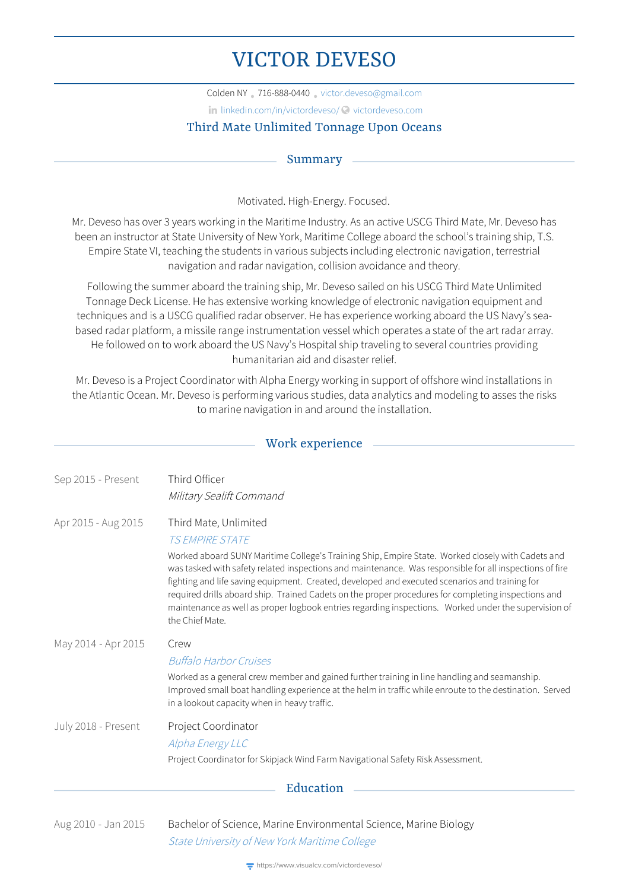# VICTOR DEVESO

Colden NY • 716-888-0440 • [victor.deveso@gmail.com](mailto:victor.deveso@gmail.com)

in [linkedin.com/in/victordeveso/](http://linkedin.com/in/victordeveso/) © [victordeveso.com](http://victordeveso.com)

# Third Mate Unlimited Tonnage Upon Oceans

## Summary

Motivated. High-Energy. Focused.

Mr. Deveso has over 3 years working in the Maritime Industry. As an active USCG Third Mate, Mr. Deveso has been an instructor at State University of New York, Maritime College aboard the school's training ship, T.S. Empire State VI, teaching the students in various subjects including electronic navigation, terrestrial navigation and radar navigation, collision avoidance and theory.

Following the summer aboard the training ship, Mr. Deveso sailed on his USCG Third Mate Unlimited Tonnage Deck License. He has extensive working knowledge of electronic navigation equipment and techniques and is a USCG qualified radar observer. He has experience working aboard the US Navy's seabased radar platform, a missile range instrumentation vessel which operates a state of the art radar array. He followed on to work aboard the US Navy's Hospital ship traveling to several countries providing humanitarian aid and disaster relief.

Mr. Deveso is a Project Coordinator with Alpha Energy working in support of offshore wind installations in the Atlantic Ocean. Mr. Deveso is performing various studies, data analytics and modeling to asses the risks to marine navigation in and around the installation.

## Work experience

| Sep 2015 - Present  | Third Officer                                                                                                                                                                                                                                                                                                                                                                                                                                                                                                                                    |  |
|---------------------|--------------------------------------------------------------------------------------------------------------------------------------------------------------------------------------------------------------------------------------------------------------------------------------------------------------------------------------------------------------------------------------------------------------------------------------------------------------------------------------------------------------------------------------------------|--|
|                     | Military Sealift Command                                                                                                                                                                                                                                                                                                                                                                                                                                                                                                                         |  |
| Apr 2015 - Aug 2015 | Third Mate, Unlimited                                                                                                                                                                                                                                                                                                                                                                                                                                                                                                                            |  |
|                     | <b>T.S FMPIRE STATE</b>                                                                                                                                                                                                                                                                                                                                                                                                                                                                                                                          |  |
|                     | Worked aboard SUNY Maritime College's Training Ship, Empire State. Worked closely with Cadets and<br>was tasked with safety related inspections and maintenance. Was responsible for all inspections of fire<br>fighting and life saving equipment. Created, developed and executed scenarios and training for<br>required drills aboard ship. Trained Cadets on the proper procedures for completing inspections and<br>maintenance as well as proper logbook entries regarding inspections. Worked under the supervision of<br>the Chief Mate. |  |
| May 2014 - Apr 2015 | Crew                                                                                                                                                                                                                                                                                                                                                                                                                                                                                                                                             |  |
|                     | <b>Buffalo Harbor Cruises</b>                                                                                                                                                                                                                                                                                                                                                                                                                                                                                                                    |  |
|                     | Worked as a general crew member and gained further training in line handling and seamanship.<br>Improved small boat handling experience at the helm in traffic while enroute to the destination. Served<br>in a lookout capacity when in heavy traffic.                                                                                                                                                                                                                                                                                          |  |
| July 2018 - Present | Project Coordinator                                                                                                                                                                                                                                                                                                                                                                                                                                                                                                                              |  |
|                     | Alpha Energy LLC                                                                                                                                                                                                                                                                                                                                                                                                                                                                                                                                 |  |
|                     | Project Coordinator for Skipjack Wind Farm Navigational Safety Risk Assessment.                                                                                                                                                                                                                                                                                                                                                                                                                                                                  |  |
| Education           |                                                                                                                                                                                                                                                                                                                                                                                                                                                                                                                                                  |  |

Aug 2010 - Jan 2015 Bachelor of Science, Marine Environmental Science, Marine Biology State [University](http://www.sunymaritime.edu) of New York Maritime College